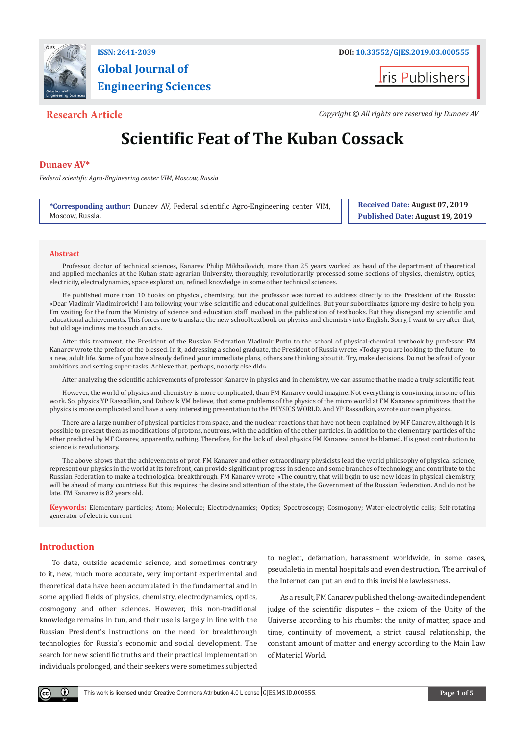

# **Global Journal of Engineering Sciences**



**Research Article** *Copyright © All rights are reserved by Dunaev AV**Copyright © All rights are reserved by Dunaev AV* 

## **Scientific Feat of The Kuban Cossack**

### **Dunaev AV\***

*Federal scientific Agro-Engineering center VIM, Moscow, Russia*

**\*Corresponding author:** Dunaev AV, Federal scientific Agro-Engineering center VIM, Moscow, Russia.

**Received Date: August 07, 2019 Published Date: August 19, 2019**

#### **Abstract**

Professor, doctor of technical sciences, Kanarev Philip Mikhailovich, more than 25 years worked as head of the department of theoretical and applied mechanics at the Kuban state agrarian University, thoroughly, revolutionarily processed some sections of physics, chemistry, optics, electricity, electrodynamics, space exploration, refined knowledge in some other technical sciences.

He published more than 10 books on physical, chemistry, but the professor was forced to address directly to the President of the Russia: «Dear Vladimir Vladimirovich! I am following your wise scientific and educational guidelines. But your subordinates ignore my desire to help you. I'm waiting for the from the Ministry of science and education staff involved in the publication of textbooks. But they disregard my scientific and educational achievements. This forces me to translate the new school textbook on physics and chemistry into English. Sorry, I want to cry after that, but old age inclines me to such an act».

After this treatment, the President of the Russian Federation Vladimir Putin to the school of physical-chemical textbook by professor FM Kanarev wrote the preface of the blessed. In it, addressing a school graduate, the President of Russia wrote: «Today you are looking to the future – to a new, adult life. Some of you have already defined your immediate plans, others are thinking about it. Try, make decisions. Do not be afraid of your ambitions and setting super-tasks. Achieve that, perhaps, nobody else did».

After analyzing the scientific achievements of professor Kanarev in physics and in chemistry, we can assume that he made a truly scientific feat.

However, the world of physics and chemistry is more complicated, than FM Kanarev could imagine. Not everything is convincing in some of his work. So, physics YP Rassadkin, and Dubovik VM believe, that some problems of the physics of the micro world at FM Kanarev «primitive», that the physics is more complicated and have a very interesting presentation to the PHYSICS WORLD. And YP Rassadkin, «wrote our own physics».

There are a large number of physical particles from space, and the nuclear reactions that have not been explained by MF Canarev, although it is possible to present them as modifications of protons, neutrons, with the addition of the ether particles. In addition to the elementary particles of the ether predicted by MF Canarev, apparently, nothing. Therefore, for the lack of ideal physics FM Kanarev cannot be blamed. His great contribution to science is revolutionary.

The above shows that the achievements of prof. FM Kanarev and other extraordinary physicists lead the world philosophy of physical science, represent our physics in the world at its forefront, can provide significant progress in science and some branches of technology, and contribute to the Russian Federation to make a technological breakthrough. FM Kanarev wrote: «The country, that will begin to use new ideas in physical chemistry, will be ahead of many countries» But this requires the desire and attention of the state, the Government of the Russian Federation. And do not be late. FM Kanarev is 82 years old.

**Keywords:** Elementary particles; Atom; Molecule; Electrodynamics; Optics; Spectroscopy; Cosmogony; Water-electrolytic cells; Self-rotating generator of electric current

### **Introduction**

To date, outside academic science, and sometimes contrary to it, new, much more accurate, very important experimental and theoretical data have been accumulated in the fundamental and in some applied fields of physics, chemistry, electrodynamics, optics, cosmogony and other sciences. However, this non-traditional knowledge remains in tun, and their use is largely in line with the Russian President's instructions on the need for breakthrough technologies for Russia's economic and social development. The search for new scientific truths and their practical implementation individuals prolonged, and their seekers were sometimes subjected to neglect, defamation, harassment worldwide, in some cases, pseudaletia in mental hospitals and even destruction. The arrival of the Internet can put an end to this invisible lawlessness.

As a result, FM Canarev published the long-awaited independent judge of the scientific disputes – the axiom of the Unity of the Universe according to his rhumbs: the unity of matter, space and time, continuity of movement, a strict causal relationship, the constant amount of matter and energy according to the Main Law of Material World.

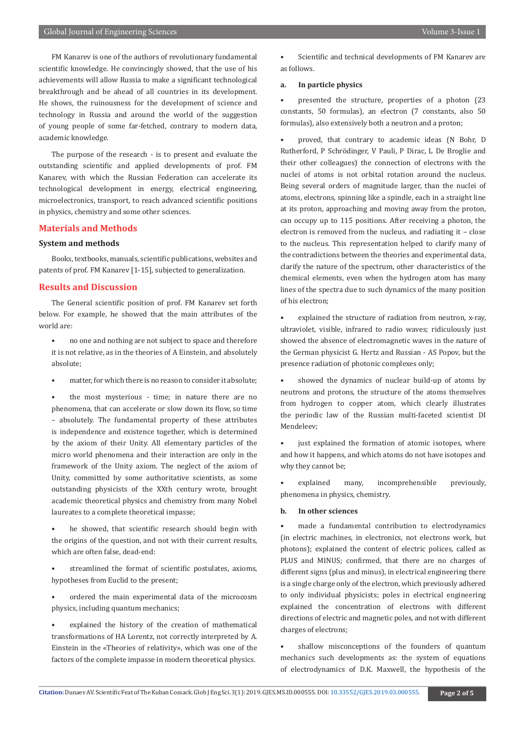FM Kanarev is one of the authors of revolutionary fundamental scientific knowledge. He convincingly showed, that the use of his achievements will allow Russia to make a significant technological breakthrough and be ahead of all countries in its development. He shows, the ruinousness for the development of science and technology in Russia and around the world of the suggestion of young people of some far-fetched, contrary to modern data, academic knowledge.

The purpose of the research - is to present and evaluate the outstanding scientific and applied developments of prof. FM Kanarev, with which the Russian Federation can accelerate its technological development in energy, electrical engineering, microelectronics, transport, to reach advanced scientific positions in physics, chemistry and some other sciences.

#### **Materials and Methods**

#### **System and methods**

Books, textbooks, manuals, scientific publications, websites and patents of prof. FM Kanarev [1-15], subjected to generalization.

#### **Results and Discussion**

The General scientific position of prof. FM Kanarev set forth below. For example, he showed that the main attributes of the world are:

- no one and nothing are not subject to space and therefore it is not relative, as in the theories of A Einstein, and absolutely absolute;
- matter, for which there is no reason to consider it absolute;

the most mysterious - time; in nature there are no phenomena, that can accelerate or slow down its flow, so time – absolutely. The fundamental property of these attributes is independence and existence together, which is determined by the axiom of their Unity. All elementary particles of the micro world phenomena and their interaction are only in the framework of the Unity axiom. The neglect of the axiom of Unity, committed by some authoritative scientists, as some outstanding physicists of the XXth century wrote, brought academic theoretical physics and chemistry from many Nobel laureates to a complete theoretical impasse;

he showed, that scientific research should begin with the origins of the question, and not with their current results, which are often false, dead-end:

streamlined the format of scientific postulates, axioms, hypotheses from Euclid to the present;

• ordered the main experimental data of the microcosm physics, including quantum mechanics;

explained the history of the creation of mathematical transformations of HA Lorentz, not correctly interpreted by A. Einstein in the «Theories of relativity», which was one of the factors of the complete impasse in modern theoretical physics.

Scientific and technical developments of FM Kanarev are as follows.

#### **a. In particle physics**

presented the structure, properties of a photon (23 constants, 50 formulas), an electron (7 constants, also 50 formulas), also extensively both a neutron and a proton;

• proved, that contrary to academic ideas (N Bohr, D Rutherford, P Schrödinger, V Pauli, P Dirac, L De Broglie and their other colleagues) the connection of electrons with the nuclei of atoms is not orbital rotation around the nucleus. Being several orders of magnitude larger, than the nuclei of atoms, electrons, spinning like a spindle, each in a straight line at its proton, approaching and moving away from the proton, can occupy up to 115 positions. After receiving a photon, the electron is removed from the nucleus, and radiating it – close to the nucleus. This representation helped to clarify many of the contradictions between the theories and experimental data, clarify the nature of the spectrum, other characteristics of the chemical elements, even when the hydrogen atom has many lines of the spectra due to such dynamics of the many position of his electron;

explained the structure of radiation from neutron, x-ray, ultraviolet, visible, infrared to radio waves; ridiculously just showed the absence of electromagnetic waves in the nature of the German physicist G. Hertz and Russian - AS Popov, but the presence radiation of photonic complexes only;

showed the dynamics of nuclear build-up of atoms by neutrons and protons, the structure of the atoms themselves from hydrogen to copper atom, which clearly illustrates the periodic law of the Russian multi-faceted scientist DI Mendeleev;

just explained the formation of atomic isotopes, where and how it happens, and which atoms do not have isotopes and why they cannot be;

• explained many, incomprehensible previously, phenomena in physics, chemistry.

#### **b. In other sciences**

made a fundamental contribution to electrodynamics (in electric machines, in electronics, not electrons work, but photons); explained the content of electric polices, called as PLUS and MINUS; confirmed, that there are no charges of different signs (plus and minus), in electrical engineering there is a single charge only of the electron, which previously adhered to only individual physicists; poles in electrical engineering explained the concentration of electrons with different directions of electric and magnetic poles, and not with different charges of electrons;

shallow misconceptions of the founders of quantum mechanics such developments as: the system of equations of electrodynamics of D.K. Maxwell, the hypothesis of the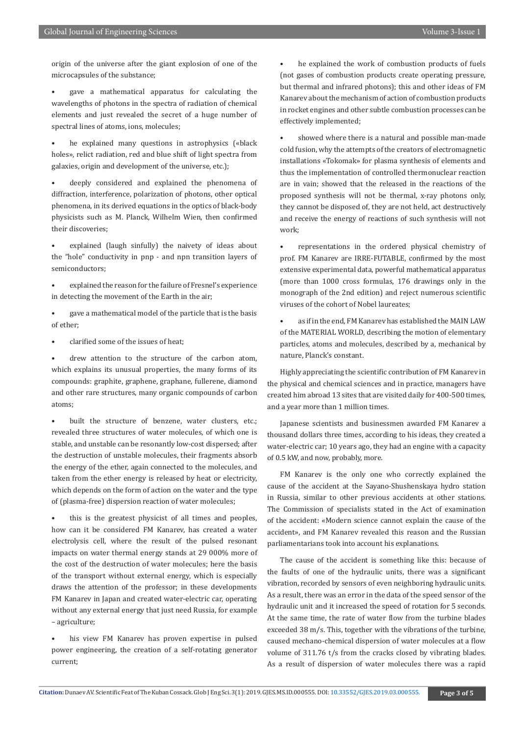origin of the universe after the giant explosion of one of the microcapsules of the substance;

- gave a mathematical apparatus for calculating the wavelengths of photons in the spectra of radiation of chemical elements and just revealed the secret of a huge number of spectral lines of atoms, ions, molecules;
- he explained many questions in astrophysics («black holes», relict radiation, red and blue shift of light spectra from galaxies, origin and development of the universe, etc.);
- deeply considered and explained the phenomena of diffraction, interference, polarization of photons, other optical phenomena, in its derived equations in the optics of black-body physicists such as M. Planck, Wilhelm Wien, then confirmed their discoveries;
- explained (laugh sinfully) the naivety of ideas about the "hole" conductivity in pnp - and npn transition layers of semiconductors;
- explained the reason for the failure of Fresnel's experience in detecting the movement of the Earth in the air;
- gave a mathematical model of the particle that is the basis of ether;
- clarified some of the issues of heat;
- drew attention to the structure of the carbon atom. which explains its unusual properties, the many forms of its compounds: graphite, graphene, graphane, fullerene, diamond and other rare structures, many organic compounds of carbon atoms;
- built the structure of benzene, water clusters, etc.; revealed three structures of water molecules, of which one is stable, and unstable can be resonantly low-cost dispersed; after the destruction of unstable molecules, their fragments absorb the energy of the ether, again connected to the molecules, and taken from the ether energy is released by heat or electricity, which depends on the form of action on the water and the type of (plasma-free) dispersion reaction of water molecules;
- this is the greatest physicist of all times and peoples, how can it be considered FM Kanarev, has created a water electrolysis cell, where the result of the pulsed resonant impacts on water thermal energy stands at 29 000% more of the cost of the destruction of water molecules; here the basis of the transport without external energy, which is especially draws the attention of the professor; in these developments FM Kanarev in Japan and created water-electric car, operating without any external energy that just need Russia, for example – agriculture;
- his view FM Kanarev has proven expertise in pulsed power engineering, the creation of a self-rotating generator current;
- he explained the work of combustion products of fuels (not gases of combustion products create operating pressure, but thermal and infrared photons); this and other ideas of FM Kanarev about the mechanism of action of combustion products in rocket engines and other subtle combustion processes can be effectively implemented;
- showed where there is a natural and possible man-made cold fusion, why the attempts of the creators of electromagnetic installations «Tokomak» for plasma synthesis of elements and thus the implementation of controlled thermonuclear reaction are in vain; showed that the released in the reactions of the proposed synthesis will not be thermal, x-ray photons only, they cannot be disposed of, they are not held, act destructively and receive the energy of reactions of such synthesis will not work;
- representations in the ordered physical chemistry of prof. FM Kanarev are IRRE-FUTABLE, confirmed by the most extensive experimental data, powerful mathematical apparatus (more than 1000 cross formulas, 176 drawings only in the monograph of the 2nd edition) and reject numerous scientific viruses of the cohort of Nobel laureates;
- as if in the end, FM Kanarev has established the MAIN LAW of the MATERIAL WORLD, describing the motion of elementary particles, atoms and molecules, described by a, mechanical by nature, Planck's constant.

Highly appreciating the scientific contribution of FM Kanarev in the physical and chemical sciences and in practice, managers have created him abroad 13 sites that are visited daily for 400-500 times, and a year more than 1 million times.

Japanese scientists and businessmen awarded FM Kanarev a thousand dollars three times, according to his ideas, they created a water-electric car; 10 years ago, they had an engine with a capacity of 0.5 kW, and now, probably, more.

FM Kanarev is the only one who correctly explained the cause of the accident at the Sayano-Shushenskaya hydro station in Russia, similar to other previous accidents at other stations. The Commission of specialists stated in the Act of examination of the accident: «Modern science cannot explain the cause of the accident», and FM Kanarev revealed this reason and the Russian parliamentarians took into account his explanations.

The cause of the accident is something like this: because of the faults of one of the hydraulic units, there was a significant vibration, recorded by sensors of even neighboring hydraulic units. As a result, there was an error in the data of the speed sensor of the hydraulic unit and it increased the speed of rotation for 5 seconds. At the same time, the rate of water flow from the turbine blades exceeded 38 m/s. This, together with the vibrations of the turbine, caused mechano-chemical dispersion of water molecules at a flow volume of 311.76 t/s from the cracks closed by vibrating blades. As a result of dispersion of water molecules there was a rapid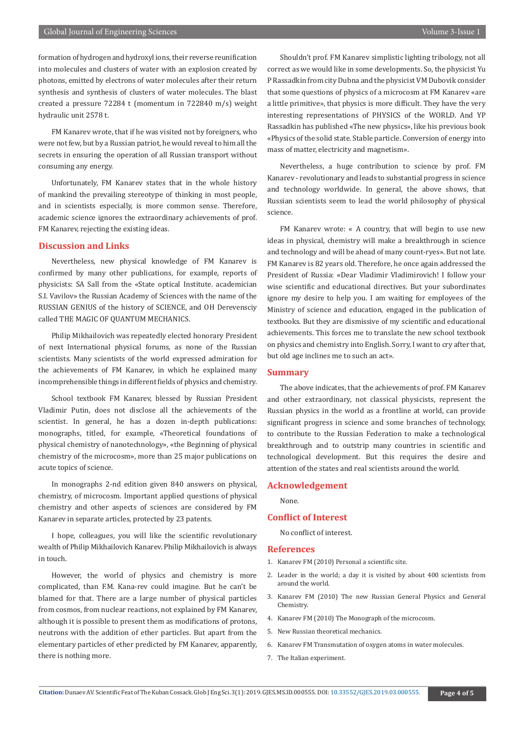formation of hydrogen and hydroxyl ions, their reverse reunification into molecules and clusters of water with an explosion created by photons, emitted by electrons of water molecules after their return synthesis and synthesis of clusters of water molecules. The blast created a pressure 72284 t (momentum in 722840 m/s) weight hydraulic unit 2578 t.

FM Kanarev wrote, that if he was visited not by foreigners, who were not few, but by a Russian patriot, he would reveal to him all the secrets in ensuring the operation of all Russian transport without consuming any energy.

Unfortunately, FM Kanarev states that in the whole history of mankind the prevailing stereotype of thinking in most people, and in scientists especially, is more common sense. Therefore, academic science ignores the extraordinary achievements of prof. FM Kanarev, rejecting the existing ideas.

#### **Discussion and Links**

Nevertheless, new physical knowledge of FM Kanarev is confirmed by many other publications, for example, reports of physicists: SA Sall from the «State optical Institute. academician S.I. Vavilov» the Russian Academy of Sciences with the name of the RUSSIAN GENIUS of the history of SCIENCE, and OH Derevensciy called THE MAGIC OF QUANTUM MECHANICS.

Philip Mikhailovich was repeatedly elected honorary President of next International physical forums, as none of the Russian scientists. Many scientists of the world expressed admiration for the achievements of FM Kanarev, in which he explained many incomprehensible things in different fields of physics and chemistry.

School textbook FM Kanarev, blessed by Russian President Vladimir Putin, does not disclose all the achievements of the scientist. In general, he has a dozen in-depth publications: monographs, titled, for example, «Theoretical foundations of physical chemistry of nanotechnology», «the Beginning of physical chemistry of the microcosm», more than 25 major publications on acute topics of science.

In monographs 2-nd edition given 840 answers on physical, chemistry, of microcosm. Important applied questions of physical chemistry and other aspects of sciences are considered by FM Kanarev in separate articles, protected by 23 patents.

I hope, colleagues, you will like the scientific revolutionary wealth of Philip Mikhailovich Kanarev. Philip Mikhailovich is always in touch.

However, the world of physics and chemistry is more complicated, than F.M. Kana-rev could imagine. But he can't be blamed for that. There are a large number of physical particles from cosmos, from nuclear reactions, not explained by FM Kanarev, although it is possible to present them as modifications of protons, neutrons with the addition of ether particles. But apart from the elementary particles of ether predicted by FM Kanarev, apparently, there is nothing more.

Shouldn't prof. FM Kanarev simplistic lighting tribology, not all correct as we would like in some developments. So, the physicist Yu P Rassadkin from city Dubna and the physicist VM Dubovik consider that some questions of physics of a microcosm at FM Kanarev «are a little primitive», that physics is more difficult. They have the very interesting representations of PHYSICS of the WORLD. And YP Rassadkin has published «The new physics», like his previous book «Physics of the solid state. Stable particle. Conversion of energy into mass of matter, electricity and magnetism».

Nevertheless, a huge contribution to science by prof. FM Kanarev - revolutionary and leads to substantial progress in science and technology worldwide. In general, the above shows, that Russian scientists seem to lead the world philosophy of physical science.

FM Kanarev wrote: « А country, that will begin to use new ideas in physical, chemistry will make a breakthrough in science and technology and will be ahead of many count-ryes». But not late. FM Kanarev is 82 years old. Therefore, he once again addressed the President of Russia: «Dear Vladimir Vladimirovich! I follow your wise scientific and educational directives. But your subordinates ignore my desire to help you. I am waiting for employees of the Ministry of science and education, engaged in the publication of textbooks. But they are dismissive of my scientific and educational achievements. This forces me to translate the new school textbook on physics and chemistry into English. Sorry, I want to cry after that, but old age inclines me to such an act».

#### **Summary**

The above indicates, that the achievements of prof. FM Kanarev and other extraordinary, not classical physicists, represent the Russian physics in the world as a frontline at world, can provide significant progress in science and some branches of technology, to contribute to the Russian Federation to make a technological breakthrough and to outstrip many countries in scientific and technological development. But this requires the desire and attention of the states and real scientists around the world.

#### **Acknowledgement**

None.

#### **Conflict of Interest**

No conflict of interest.

#### **References**

- 1. [Kanarev FM \(2010\) Personal a scientific site.](http://www.micro-world.su/)
- 2. Leader in the world; a day it is visited by about 400 scientists from around the world.
- 3. [Kanarev FM \(2010\) The new Russian General Physics and General](http://www.micro-world.su/index.php)  [Chemistry.](http://www.micro-world.su/index.php)
- 4. [Kanarev FM \(2010\) The Monograph of the microcosm.](http://www.micro-world.su/index.php)
- 5. [New Russian theoretical mechanics.](http://www.micro-world.su/index.php)
- 6. [Kanarev FM Transmutation of oxygen atoms in water molecules.](http://www.micro-world.su/index.php)
- 7. [The Italian experiment.](http://www.membrana.ru/particle)